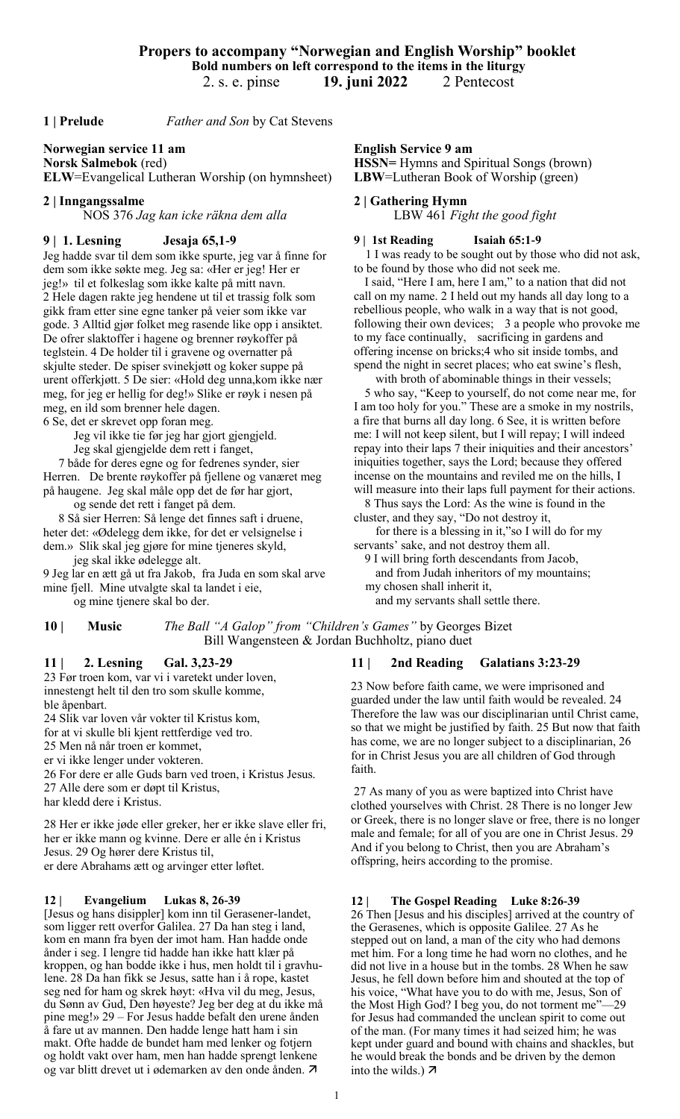**1 | Prelude** *Father and Son* by Cat Stevens

## **Norwegian service 11 am**

**Norsk Salmebok** (red) **ELW**=Evangelical Lutheran Worship (on hymnsheet)

#### **2 | Inngangssalme**

NOS 376 *Jag kan icke räkna dem alla*

### **9 | 1. Lesning Jesaja 65,1-9**

Jeg hadde svar til dem som ikke spurte, jeg var å finne for dem som ikke søkte meg. Jeg sa: «Her er jeg! Her er jeg!» til et folkeslag som ikke kalte på mitt navn. 2 Hele dagen rakte jeg hendene ut til et trassig folk som gikk fram etter sine egne tanker på veier som ikke var gode. 3 Alltid gjør folket meg rasende like opp i ansiktet. De ofrer slaktoffer i hagene og brenner røykoffer på teglstein. 4 De holder til i gravene og overnatter på skjulte steder. De spiser svinekjøtt og koker suppe på urent offerkjøtt. 5 De sier: «Hold deg unna,kom ikke nær meg, for jeg er hellig for deg!» Slike er røyk i nesen på meg, en ild som brenner hele dagen.

6 Se, det er skrevet opp foran meg.

 Jeg vil ikke tie før jeg har gjort gjengjeld. Jeg skal gjengjelde dem rett i fanget,

7 både for deres egne og for fedrenes synder, sier

Herren. De brente røykoffer på fjellene og vanæret meg på haugene. Jeg skal måle opp det de før har gjort,

og sende det rett i fanget på dem.

 8 Så sier Herren: Så lenge det finnes saft i druene, heter det: «Ødelegg dem ikke, for det er velsignelse i dem.» Slik skal jeg gjøre for mine tjeneres skyld,

 jeg skal ikke ødelegge alt. 9 Jeg lar en ætt gå ut fra Jakob, fra Juda en som skal arve mine fjell. Mine utvalgte skal ta landet i eie,

og mine tjenere skal bo der.

# **10 | Music** *The Ball "A Galop" from "Children's Games"* by Georges Bizet

### **11 | 2. Lesning Gal. 3,23-29**

23 Før troen kom, var vi i varetekt under loven, innestengt helt til den tro som skulle komme, ble åpenbart.

24 Slik var loven vår vokter til Kristus kom, for at vi skulle bli kjent rettferdige ved tro. 25 Men nå når troen er kommet, er vi ikke lenger under vokteren. 26 For dere er alle Guds barn ved troen, i Kristus Jesus. 27 Alle dere som er døpt til Kristus, har kledd dere i Kristus.

28 Her er ikke jøde eller greker, her er ikke slave eller fri, her er ikke mann og kvinne. Dere er alle én i Kristus Jesus. 29 Og hører dere Kristus til, er dere Abrahams ætt og arvinger etter løftet.

#### **12 | Evangelium Lukas 8, 26-39**

[Jesus og hans disippler] kom inn til Gerasener-landet, som ligger rett overfor Galilea. 27 Da han steg i land, kom en mann fra byen der imot ham. Han hadde onde ånder i seg. I lengre tid hadde han ikke hatt klær på kroppen, og han bodde ikke i hus, men holdt til i gravhulene. 28 Da han fikk se Jesus, satte han i å rope, kastet seg ned for ham og skrek høyt: «Hva vil du meg, Jesus, du Sønn av Gud, Den høyeste? Jeg ber deg at du ikke må pine meg!» 29 – For Jesus hadde befalt den urene ånden å fare ut av mannen. Den hadde lenge hatt ham i sin makt. Ofte hadde de bundet ham med lenker og fotjern og holdt vakt over ham, men han hadde sprengt lenkene og var blitt drevet ut i ødemarken av den onde ånden.

**English Service 9 am** 

**HSSN=** Hymns and Spiritual Songs (brown) **LBW**=Lutheran Book of Worship (green)

#### **2 | Gathering Hymn**

LBW 461 *Fight the good fight*

#### **9 | 1st Reading Isaiah 65:1-9**

1 I was ready to be sought out by those who did not ask, to be found by those who did not seek me.

I said, "Here I am, here I am," to a nation that did not call on my name. 2 I held out my hands all day long to a rebellious people, who walk in a way that is not good, following their own devices; 3 a people who provoke me to my face continually, sacrificing in gardens and offering incense on bricks;4 who sit inside tombs, and spend the night in secret places; who eat swine's flesh,

 with broth of abominable things in their vessels; 5 who say, "Keep to yourself, do not come near me, for

I am too holy for you." These are a smoke in my nostrils, a fire that burns all day long. 6 See, it is written before me: I will not keep silent, but I will repay; I will indeed repay into their laps 7 their iniquities and their ancestors' iniquities together, says the Lord; because they offered incense on the mountains and reviled me on the hills, I will measure into their laps full payment for their actions.

8 Thus says the Lord: As the wine is found in the cluster, and they say, "Do not destroy it,

 for there is a blessing in it,"so I will do for my servants' sake, and not destroy them all.

9 I will bring forth descendants from Jacob,

 and from Judah inheritors of my mountains; my chosen shall inherit it,

and my servants shall settle there.

Bill Wangensteen & Jordan Buchholtz, piano duet

### **11 | 2nd Reading Galatians 3:23-29**

23 Now before faith came, we were imprisoned and guarded under the law until faith would be revealed. 24 Therefore the law was our disciplinarian until Christ came, so that we might be justified by faith. 25 But now that faith has come, we are no longer subject to a disciplinarian, 26 for in Christ Jesus you are all children of God through faith.

27 As many of you as were baptized into Christ have clothed yourselves with Christ. 28 There is no longer Jew or Greek, there is no longer slave or free, there is no longer male and female; for all of you are one in Christ Jesus. 29 And if you belong to Christ, then you are Abraham's offspring, heirs according to the promise.

#### **12 | The Gospel Reading Luke 8:26-39**

26 Then [Jesus and his disciples] arrived at the country of the Gerasenes, which is opposite Galilee. 27 As he stepped out on land, a man of the city who had demons met him. For a long time he had worn no clothes, and he did not live in a house but in the tombs. 28 When he saw Jesus, he fell down before him and shouted at the top of his voice, "What have you to do with me, Jesus, Son of the Most High God? I beg you, do not torment me"—29 for Jesus had commanded the unclean spirit to come out of the man. (For many times it had seized him; he was kept under guard and bound with chains and shackles, but he would break the bonds and be driven by the demon into the wilds.)  $\overline{A}$